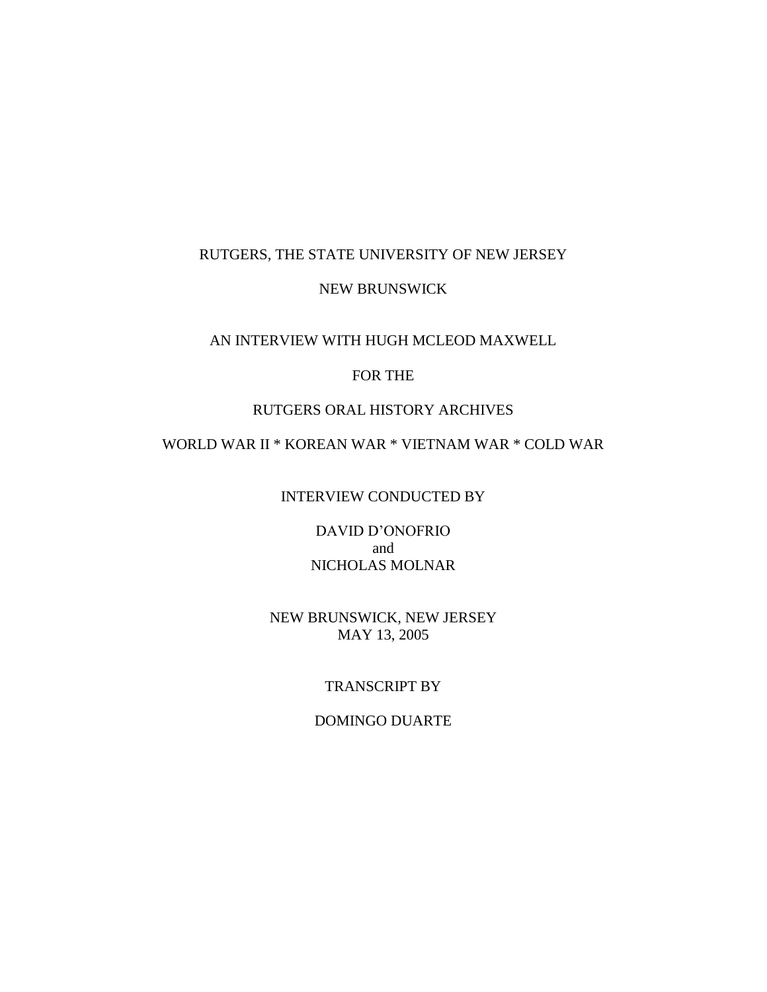# RUTGERS, THE STATE UNIVERSITY OF NEW JERSEY

# NEW BRUNSWICK

# AN INTERVIEW WITH HUGH MCLEOD MAXWELL

# FOR THE

# RUTGERS ORAL HISTORY ARCHIVES

# WORLD WAR II \* KOREAN WAR \* VIETNAM WAR \* COLD WAR

#### INTERVIEW CONDUCTED BY

DAVID D'ONOFRIO and NICHOLAS MOLNAR

# NEW BRUNSWICK, NEW JERSEY MAY 13, 2005

# TRANSCRIPT BY

# DOMINGO DUARTE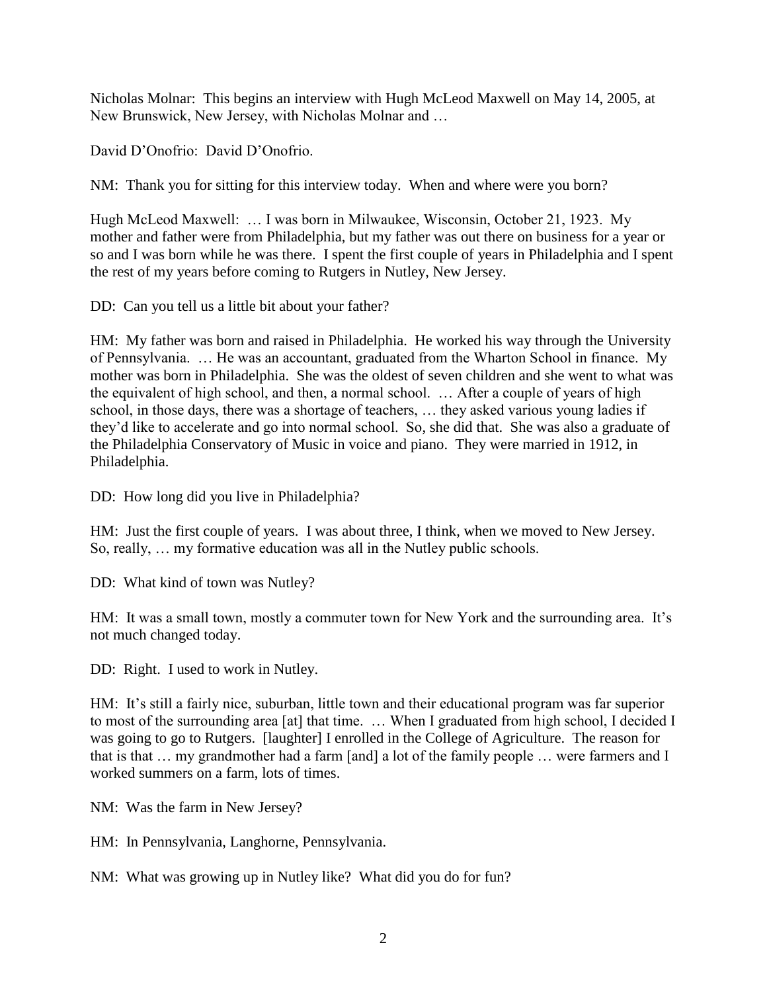Nicholas Molnar: This begins an interview with Hugh McLeod Maxwell on May 14, 2005, at New Brunswick, New Jersey, with Nicholas Molnar and …

David D'Onofrio: David D'Onofrio.

NM: Thank you for sitting for this interview today. When and where were you born?

Hugh McLeod Maxwell: … I was born in Milwaukee, Wisconsin, October 21, 1923. My mother and father were from Philadelphia, but my father was out there on business for a year or so and I was born while he was there. I spent the first couple of years in Philadelphia and I spent the rest of my years before coming to Rutgers in Nutley, New Jersey.

DD: Can you tell us a little bit about your father?

HM: My father was born and raised in Philadelphia. He worked his way through the University of Pennsylvania. … He was an accountant, graduated from the Wharton School in finance. My mother was born in Philadelphia. She was the oldest of seven children and she went to what was the equivalent of high school, and then, a normal school. … After a couple of years of high school, in those days, there was a shortage of teachers, … they asked various young ladies if they'd like to accelerate and go into normal school. So, she did that. She was also a graduate of the Philadelphia Conservatory of Music in voice and piano. They were married in 1912, in Philadelphia.

DD: How long did you live in Philadelphia?

HM: Just the first couple of years. I was about three, I think, when we moved to New Jersey. So, really, … my formative education was all in the Nutley public schools.

DD: What kind of town was Nutley?

HM: It was a small town, mostly a commuter town for New York and the surrounding area. It's not much changed today.

DD: Right. I used to work in Nutley.

HM: It's still a fairly nice, suburban, little town and their educational program was far superior to most of the surrounding area [at] that time. … When I graduated from high school, I decided I was going to go to Rutgers. [laughter] I enrolled in the College of Agriculture. The reason for that is that … my grandmother had a farm [and] a lot of the family people … were farmers and I worked summers on a farm, lots of times.

NM: Was the farm in New Jersey?

HM: In Pennsylvania, Langhorne, Pennsylvania.

NM: What was growing up in Nutley like? What did you do for fun?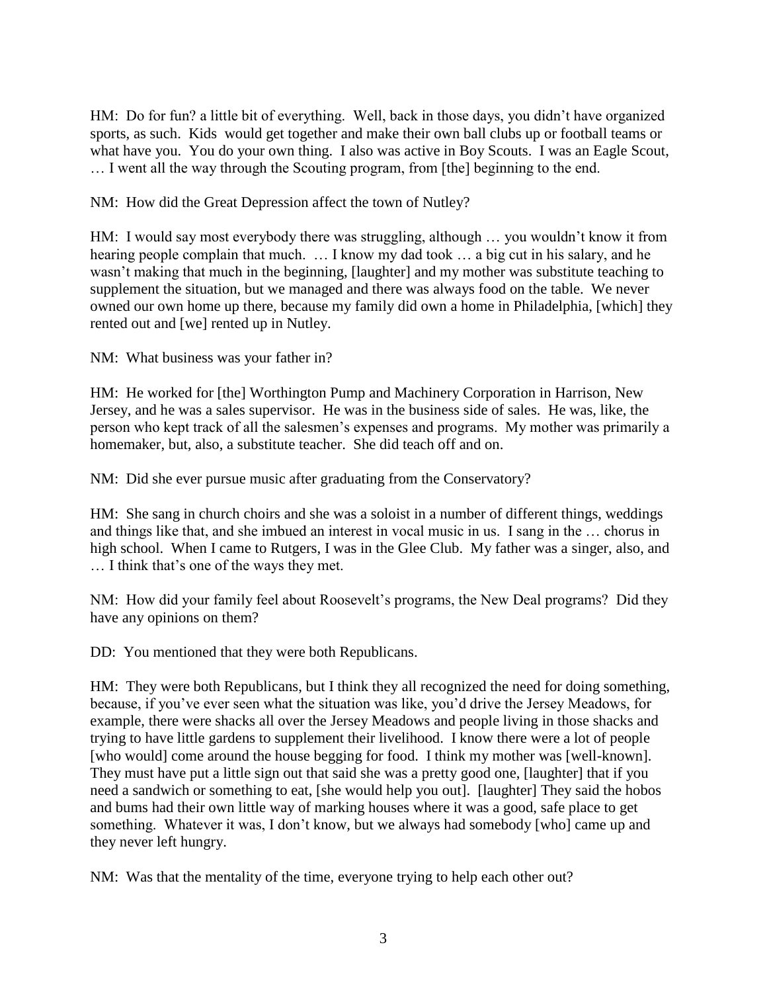HM: Do for fun? a little bit of everything. Well, back in those days, you didn't have organized sports, as such. Kids would get together and make their own ball clubs up or football teams or what have you. You do your own thing. I also was active in Boy Scouts. I was an Eagle Scout, … I went all the way through the Scouting program, from [the] beginning to the end.

NM: How did the Great Depression affect the town of Nutley?

HM: I would say most everybody there was struggling, although … you wouldn't know it from hearing people complain that much. ... I know my dad took ... a big cut in his salary, and he wasn't making that much in the beginning, [laughter] and my mother was substitute teaching to supplement the situation, but we managed and there was always food on the table. We never owned our own home up there, because my family did own a home in Philadelphia, [which] they rented out and [we] rented up in Nutley.

NM: What business was your father in?

HM: He worked for [the] Worthington Pump and Machinery Corporation in Harrison, New Jersey, and he was a sales supervisor. He was in the business side of sales. He was, like, the person who kept track of all the salesmen's expenses and programs. My mother was primarily a homemaker, but, also, a substitute teacher. She did teach off and on.

NM: Did she ever pursue music after graduating from the Conservatory?

HM: She sang in church choirs and she was a soloist in a number of different things, weddings and things like that, and she imbued an interest in vocal music in us. I sang in the … chorus in high school. When I came to Rutgers, I was in the Glee Club. My father was a singer, also, and … I think that's one of the ways they met.

NM: How did your family feel about Roosevelt's programs, the New Deal programs? Did they have any opinions on them?

DD: You mentioned that they were both Republicans.

HM: They were both Republicans, but I think they all recognized the need for doing something, because, if you've ever seen what the situation was like, you'd drive the Jersey Meadows, for example, there were shacks all over the Jersey Meadows and people living in those shacks and trying to have little gardens to supplement their livelihood. I know there were a lot of people [who would] come around the house begging for food. I think my mother was [well-known]. They must have put a little sign out that said she was a pretty good one, [laughter] that if you need a sandwich or something to eat, [she would help you out]. [laughter] They said the hobos and bums had their own little way of marking houses where it was a good, safe place to get something. Whatever it was, I don't know, but we always had somebody [who] came up and they never left hungry.

NM: Was that the mentality of the time, everyone trying to help each other out?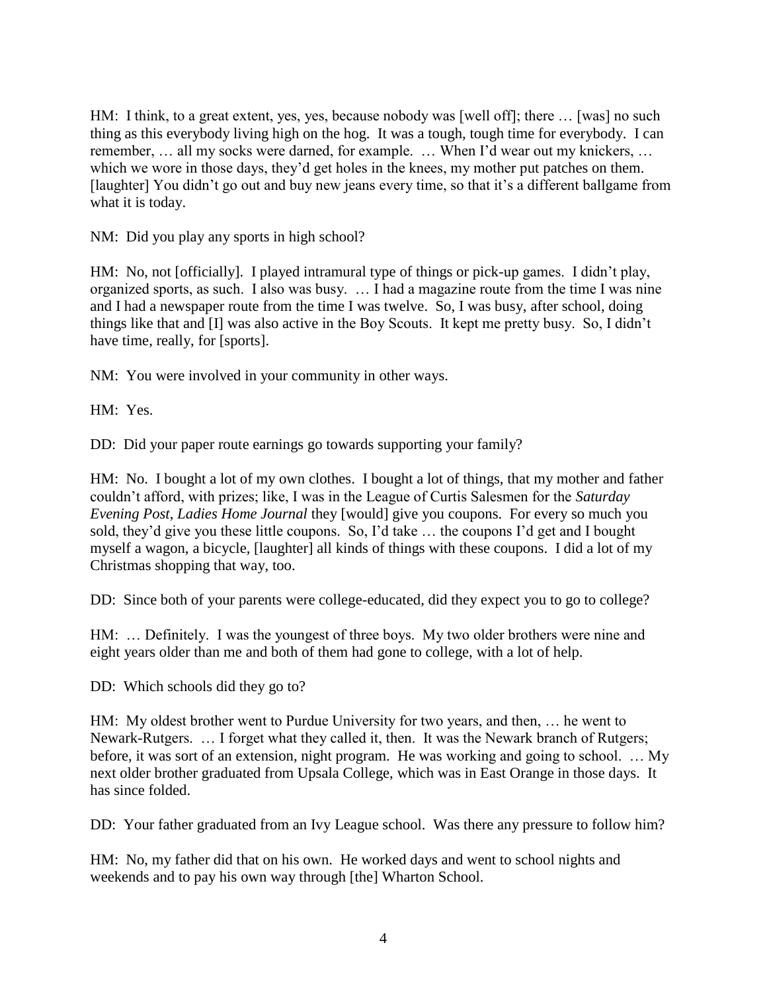HM: I think, to a great extent, yes, yes, because nobody was [well off]; there … [was] no such thing as this everybody living high on the hog. It was a tough, tough time for everybody. I can remember, … all my socks were darned, for example. … When I'd wear out my knickers, … which we wore in those days, they'd get holes in the knees, my mother put patches on them. [laughter] You didn't go out and buy new jeans every time, so that it's a different ballgame from what it is today.

NM: Did you play any sports in high school?

HM: No, not [officially]. I played intramural type of things or pick-up games. I didn't play, organized sports, as such. I also was busy. … I had a magazine route from the time I was nine and I had a newspaper route from the time I was twelve. So, I was busy, after school, doing things like that and [I] was also active in the Boy Scouts. It kept me pretty busy. So, I didn't have time, really, for [sports].

NM: You were involved in your community in other ways.

HM: Yes.

DD: Did your paper route earnings go towards supporting your family?

HM: No. I bought a lot of my own clothes. I bought a lot of things, that my mother and father couldn't afford, with prizes; like, I was in the League of Curtis Salesmen for the *Saturday Evening Post*, *Ladies Home Journal* they [would] give you coupons. For every so much you sold, they'd give you these little coupons. So, I'd take … the coupons I'd get and I bought myself a wagon, a bicycle, [laughter] all kinds of things with these coupons. I did a lot of my Christmas shopping that way, too.

DD: Since both of your parents were college-educated, did they expect you to go to college?

HM: … Definitely. I was the youngest of three boys. My two older brothers were nine and eight years older than me and both of them had gone to college, with a lot of help.

DD: Which schools did they go to?

HM: My oldest brother went to Purdue University for two years, and then, … he went to Newark-Rutgers. … I forget what they called it, then. It was the Newark branch of Rutgers; before, it was sort of an extension, night program. He was working and going to school. … My next older brother graduated from Upsala College, which was in East Orange in those days. It has since folded.

DD: Your father graduated from an Ivy League school. Was there any pressure to follow him?

HM: No, my father did that on his own. He worked days and went to school nights and weekends and to pay his own way through [the] Wharton School.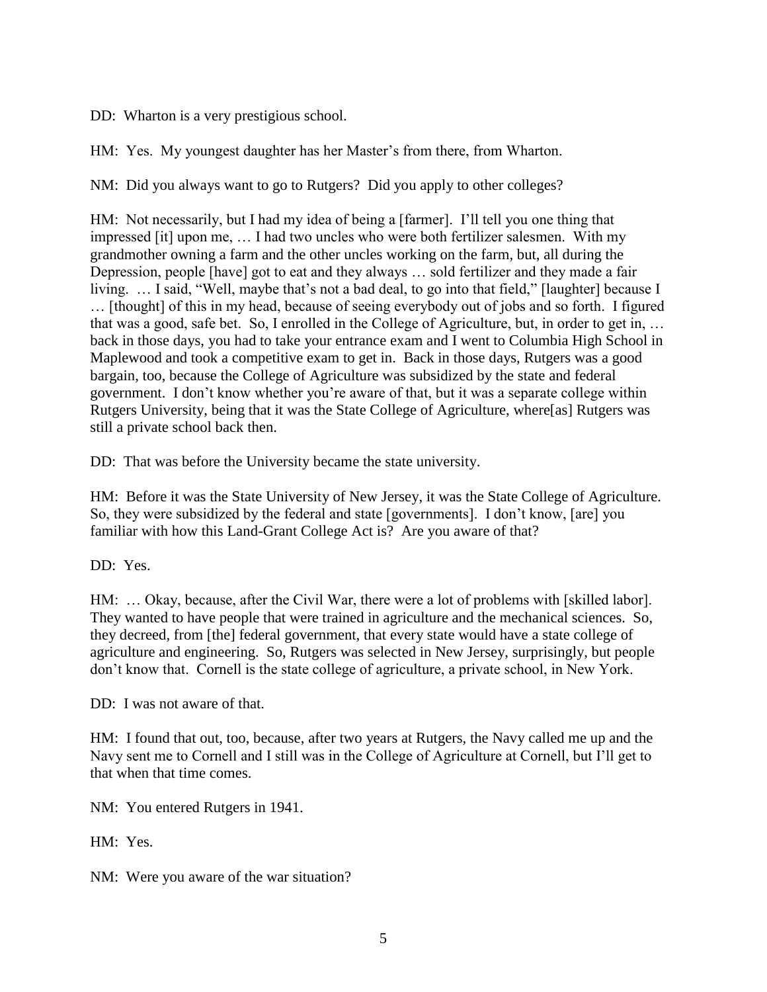DD: Wharton is a very prestigious school.

HM: Yes. My youngest daughter has her Master's from there, from Wharton.

NM: Did you always want to go to Rutgers? Did you apply to other colleges?

HM: Not necessarily, but I had my idea of being a [farmer]. I'll tell you one thing that impressed [it] upon me, … I had two uncles who were both fertilizer salesmen. With my grandmother owning a farm and the other uncles working on the farm, but, all during the Depression, people [have] got to eat and they always … sold fertilizer and they made a fair living. … I said, "Well, maybe that's not a bad deal, to go into that field," [laughter] because I … [thought] of this in my head, because of seeing everybody out of jobs and so forth. I figured that was a good, safe bet. So, I enrolled in the College of Agriculture, but, in order to get in, … back in those days, you had to take your entrance exam and I went to Columbia High School in Maplewood and took a competitive exam to get in. Back in those days, Rutgers was a good bargain, too, because the College of Agriculture was subsidized by the state and federal government. I don't know whether you're aware of that, but it was a separate college within Rutgers University, being that it was the State College of Agriculture, where[as] Rutgers was still a private school back then.

DD: That was before the University became the state university.

HM: Before it was the State University of New Jersey, it was the State College of Agriculture. So, they were subsidized by the federal and state [governments]. I don't know, [are] you familiar with how this Land-Grant College Act is? Are you aware of that?

DD: Yes.

HM: … Okay, because, after the Civil War, there were a lot of problems with [skilled labor]. They wanted to have people that were trained in agriculture and the mechanical sciences. So, they decreed, from [the] federal government, that every state would have a state college of agriculture and engineering. So, Rutgers was selected in New Jersey, surprisingly, but people don't know that. Cornell is the state college of agriculture, a private school, in New York.

DD: I was not aware of that.

HM: I found that out, too, because, after two years at Rutgers, the Navy called me up and the Navy sent me to Cornell and I still was in the College of Agriculture at Cornell, but I'll get to that when that time comes.

NM: You entered Rutgers in 1941.

HM: Yes.

NM: Were you aware of the war situation?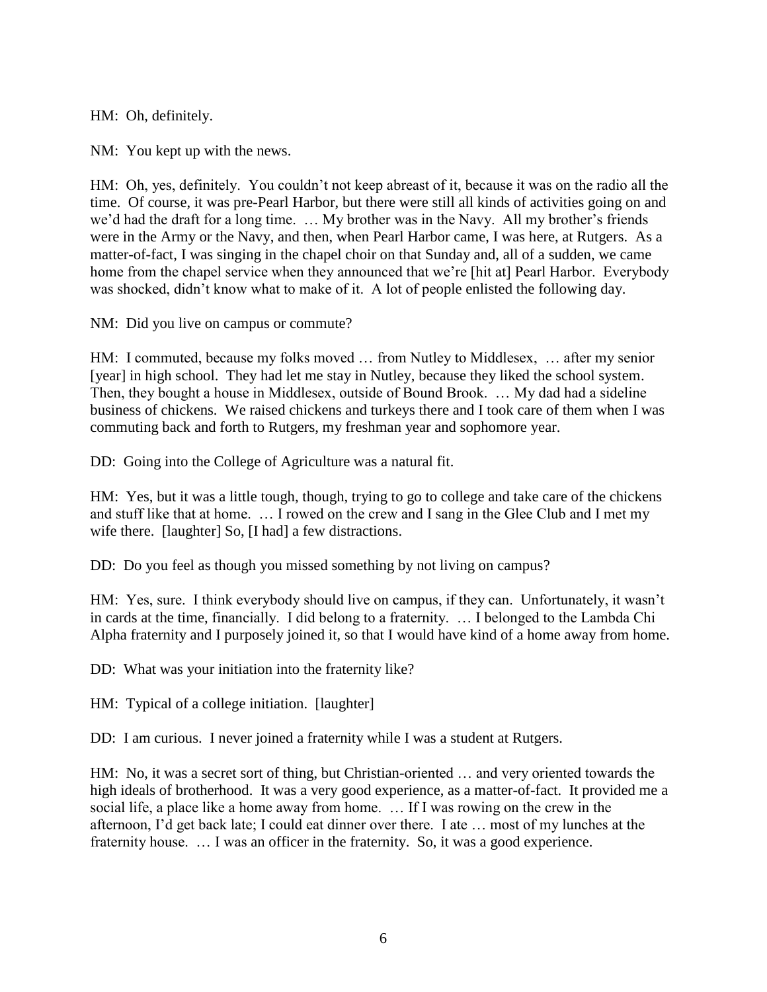HM: Oh, definitely.

NM: You kept up with the news.

HM: Oh, yes, definitely. You couldn't not keep abreast of it, because it was on the radio all the time. Of course, it was pre-Pearl Harbor, but there were still all kinds of activities going on and we'd had the draft for a long time. … My brother was in the Navy. All my brother's friends were in the Army or the Navy, and then, when Pearl Harbor came, I was here, at Rutgers. As a matter-of-fact, I was singing in the chapel choir on that Sunday and, all of a sudden, we came home from the chapel service when they announced that we're [hit at] Pearl Harbor. Everybody was shocked, didn't know what to make of it. A lot of people enlisted the following day.

NM: Did you live on campus or commute?

HM: I commuted, because my folks moved … from Nutley to Middlesex, … after my senior [year] in high school. They had let me stay in Nutley, because they liked the school system. Then, they bought a house in Middlesex, outside of Bound Brook. … My dad had a sideline business of chickens. We raised chickens and turkeys there and I took care of them when I was commuting back and forth to Rutgers, my freshman year and sophomore year.

DD: Going into the College of Agriculture was a natural fit.

HM: Yes, but it was a little tough, though, trying to go to college and take care of the chickens and stuff like that at home. … I rowed on the crew and I sang in the Glee Club and I met my wife there. [laughter] So, [I had] a few distractions.

DD: Do you feel as though you missed something by not living on campus?

HM: Yes, sure. I think everybody should live on campus, if they can. Unfortunately, it wasn't in cards at the time, financially. I did belong to a fraternity. … I belonged to the Lambda Chi Alpha fraternity and I purposely joined it, so that I would have kind of a home away from home.

DD: What was your initiation into the fraternity like?

HM: Typical of a college initiation. [laughter]

DD: I am curious. I never joined a fraternity while I was a student at Rutgers.

HM: No, it was a secret sort of thing, but Christian-oriented … and very oriented towards the high ideals of brotherhood. It was a very good experience, as a matter-of-fact. It provided me a social life, a place like a home away from home. … If I was rowing on the crew in the afternoon, I'd get back late; I could eat dinner over there. I ate … most of my lunches at the fraternity house. … I was an officer in the fraternity. So, it was a good experience.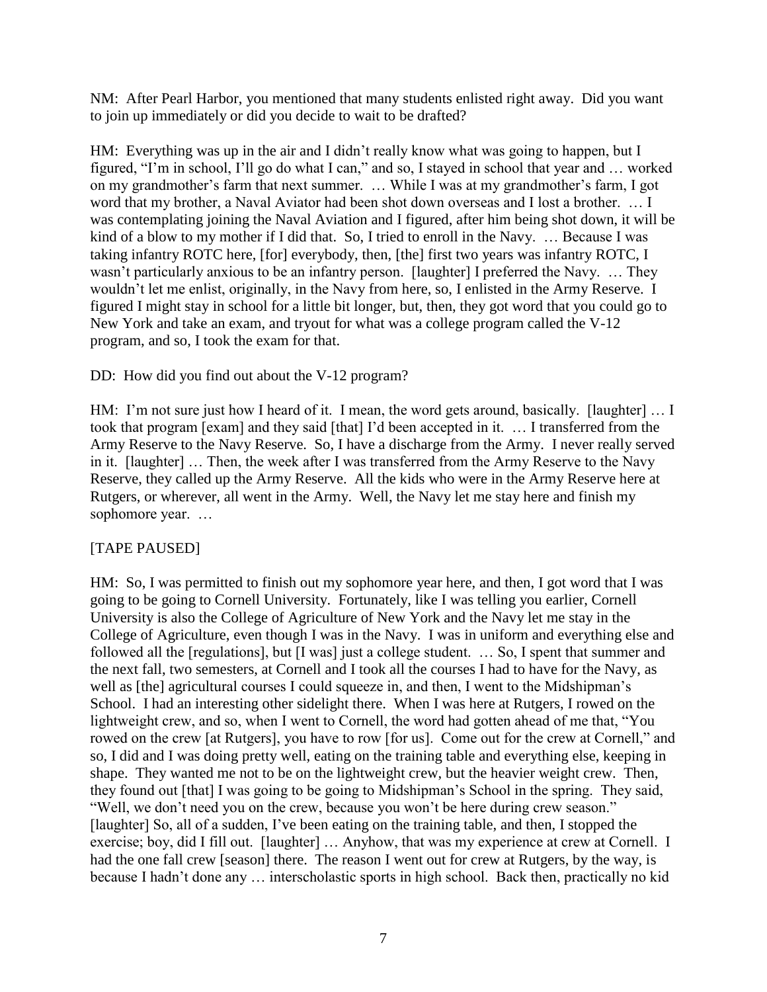NM: After Pearl Harbor, you mentioned that many students enlisted right away. Did you want to join up immediately or did you decide to wait to be drafted?

HM: Everything was up in the air and I didn't really know what was going to happen, but I figured, "I'm in school, I'll go do what I can," and so, I stayed in school that year and … worked on my grandmother's farm that next summer. … While I was at my grandmother's farm, I got word that my brother, a Naval Aviator had been shot down overseas and I lost a brother. … I was contemplating joining the Naval Aviation and I figured, after him being shot down, it will be kind of a blow to my mother if I did that. So, I tried to enroll in the Navy. ... Because I was taking infantry ROTC here, [for] everybody, then, [the] first two years was infantry ROTC, I wasn't particularly anxious to be an infantry person. [laughter] I preferred the Navy. … They wouldn't let me enlist, originally, in the Navy from here, so, I enlisted in the Army Reserve. I figured I might stay in school for a little bit longer, but, then, they got word that you could go to New York and take an exam, and tryout for what was a college program called the V-12 program, and so, I took the exam for that.

# DD: How did you find out about the V-12 program?

HM: I'm not sure just how I heard of it. I mean, the word gets around, basically. [laughter] … I took that program [exam] and they said [that] I'd been accepted in it. … I transferred from the Army Reserve to the Navy Reserve. So, I have a discharge from the Army. I never really served in it. [laughter] … Then, the week after I was transferred from the Army Reserve to the Navy Reserve, they called up the Army Reserve. All the kids who were in the Army Reserve here at Rutgers, or wherever, all went in the Army. Well, the Navy let me stay here and finish my sophomore year. …

# [TAPE PAUSED]

HM: So, I was permitted to finish out my sophomore year here, and then, I got word that I was going to be going to Cornell University. Fortunately, like I was telling you earlier, Cornell University is also the College of Agriculture of New York and the Navy let me stay in the College of Agriculture, even though I was in the Navy. I was in uniform and everything else and followed all the [regulations], but [I was] just a college student. ... So, I spent that summer and the next fall, two semesters, at Cornell and I took all the courses I had to have for the Navy, as well as [the] agricultural courses I could squeeze in, and then, I went to the Midshipman's School. I had an interesting other sidelight there. When I was here at Rutgers, I rowed on the lightweight crew, and so, when I went to Cornell, the word had gotten ahead of me that, "You rowed on the crew [at Rutgers], you have to row [for us]. Come out for the crew at Cornell," and so, I did and I was doing pretty well, eating on the training table and everything else, keeping in shape. They wanted me not to be on the lightweight crew, but the heavier weight crew. Then, they found out [that] I was going to be going to Midshipman's School in the spring. They said, "Well, we don't need you on the crew, because you won't be here during crew season." [laughter] So, all of a sudden, I've been eating on the training table, and then, I stopped the exercise; boy, did I fill out. [laughter] … Anyhow, that was my experience at crew at Cornell. I had the one fall crew [season] there. The reason I went out for crew at Rutgers, by the way, is because I hadn't done any … interscholastic sports in high school. Back then, practically no kid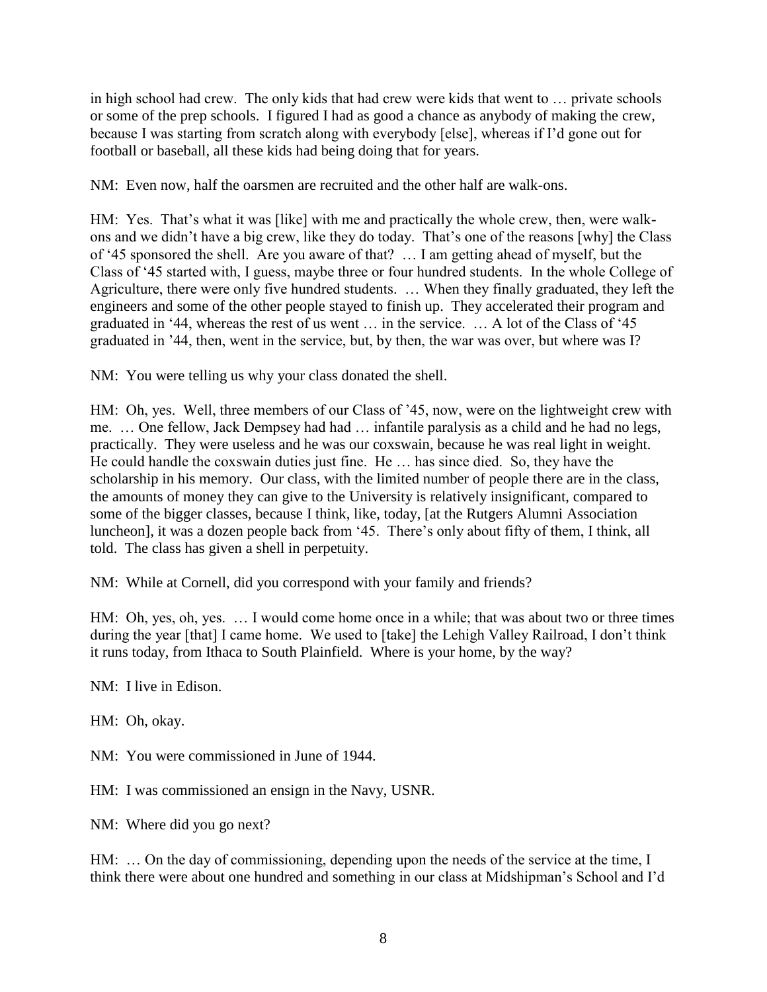in high school had crew. The only kids that had crew were kids that went to … private schools or some of the prep schools. I figured I had as good a chance as anybody of making the crew, because I was starting from scratch along with everybody [else], whereas if I'd gone out for football or baseball, all these kids had being doing that for years.

NM: Even now, half the oarsmen are recruited and the other half are walk-ons.

HM: Yes. That's what it was [like] with me and practically the whole crew, then, were walkons and we didn't have a big crew, like they do today. That's one of the reasons [why] the Class of '45 sponsored the shell. Are you aware of that? … I am getting ahead of myself, but the Class of '45 started with, I guess, maybe three or four hundred students. In the whole College of Agriculture, there were only five hundred students. … When they finally graduated, they left the engineers and some of the other people stayed to finish up. They accelerated their program and graduated in '44, whereas the rest of us went … in the service. … A lot of the Class of '45 graduated in '44, then, went in the service, but, by then, the war was over, but where was I?

NM: You were telling us why your class donated the shell.

HM: Oh, yes. Well, three members of our Class of '45, now, were on the lightweight crew with me. … One fellow, Jack Dempsey had had … infantile paralysis as a child and he had no legs, practically. They were useless and he was our coxswain, because he was real light in weight. He could handle the coxswain duties just fine. He … has since died. So, they have the scholarship in his memory. Our class, with the limited number of people there are in the class, the amounts of money they can give to the University is relatively insignificant, compared to some of the bigger classes, because I think, like, today, [at the Rutgers Alumni Association luncheon], it was a dozen people back from '45. There's only about fifty of them, I think, all told. The class has given a shell in perpetuity.

NM: While at Cornell, did you correspond with your family and friends?

HM: Oh, yes, oh, yes. … I would come home once in a while; that was about two or three times during the year [that] I came home. We used to [take] the Lehigh Valley Railroad, I don't think it runs today, from Ithaca to South Plainfield. Where is your home, by the way?

NM: I live in Edison.

HM: Oh, okay.

NM: You were commissioned in June of 1944.

HM: I was commissioned an ensign in the Navy, USNR.

NM: Where did you go next?

HM: … On the day of commissioning, depending upon the needs of the service at the time, I think there were about one hundred and something in our class at Midshipman's School and I'd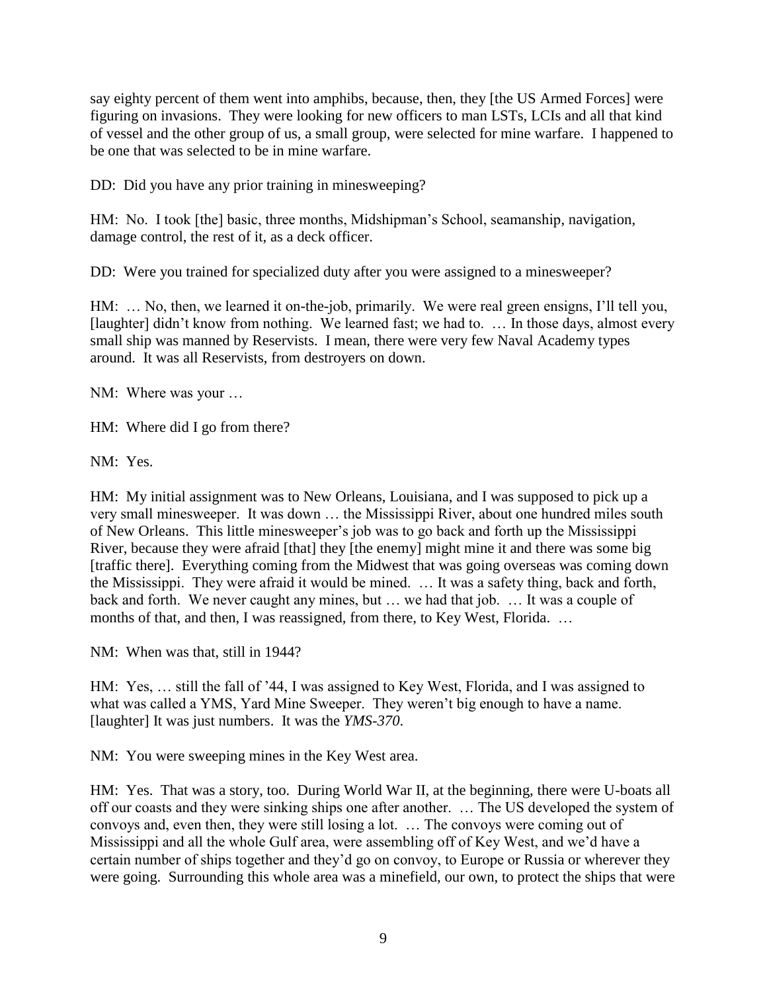say eighty percent of them went into amphibs, because, then, they [the US Armed Forces] were figuring on invasions. They were looking for new officers to man LSTs, LCIs and all that kind of vessel and the other group of us, a small group, were selected for mine warfare. I happened to be one that was selected to be in mine warfare.

DD: Did you have any prior training in minesweeping?

HM: No. I took [the] basic, three months, Midshipman's School, seamanship, navigation, damage control, the rest of it, as a deck officer.

DD: Were you trained for specialized duty after you were assigned to a minesweeper?

HM: … No, then, we learned it on-the-job, primarily. We were real green ensigns, I'll tell you, [laughter] didn't know from nothing. We learned fast; we had to. ... In those days, almost every small ship was manned by Reservists. I mean, there were very few Naval Academy types around. It was all Reservists, from destroyers on down.

NM: Where was your …

HM: Where did I go from there?

NM: Yes.

HM: My initial assignment was to New Orleans, Louisiana, and I was supposed to pick up a very small minesweeper. It was down … the Mississippi River, about one hundred miles south of New Orleans. This little minesweeper's job was to go back and forth up the Mississippi River, because they were afraid [that] they [the enemy] might mine it and there was some big [traffic there]. Everything coming from the Midwest that was going overseas was coming down the Mississippi. They were afraid it would be mined. … It was a safety thing, back and forth, back and forth. We never caught any mines, but … we had that job. … It was a couple of months of that, and then, I was reassigned, from there, to Key West, Florida. ...

NM: When was that, still in 1944?

HM: Yes, … still the fall of '44, I was assigned to Key West, Florida, and I was assigned to what was called a YMS, Yard Mine Sweeper. They weren't big enough to have a name. [laughter] It was just numbers. It was the *YMS-370*.

NM: You were sweeping mines in the Key West area.

HM: Yes. That was a story, too. During World War II, at the beginning, there were U-boats all off our coasts and they were sinking ships one after another. … The US developed the system of convoys and, even then, they were still losing a lot. … The convoys were coming out of Mississippi and all the whole Gulf area, were assembling off of Key West, and we'd have a certain number of ships together and they'd go on convoy, to Europe or Russia or wherever they were going. Surrounding this whole area was a minefield, our own, to protect the ships that were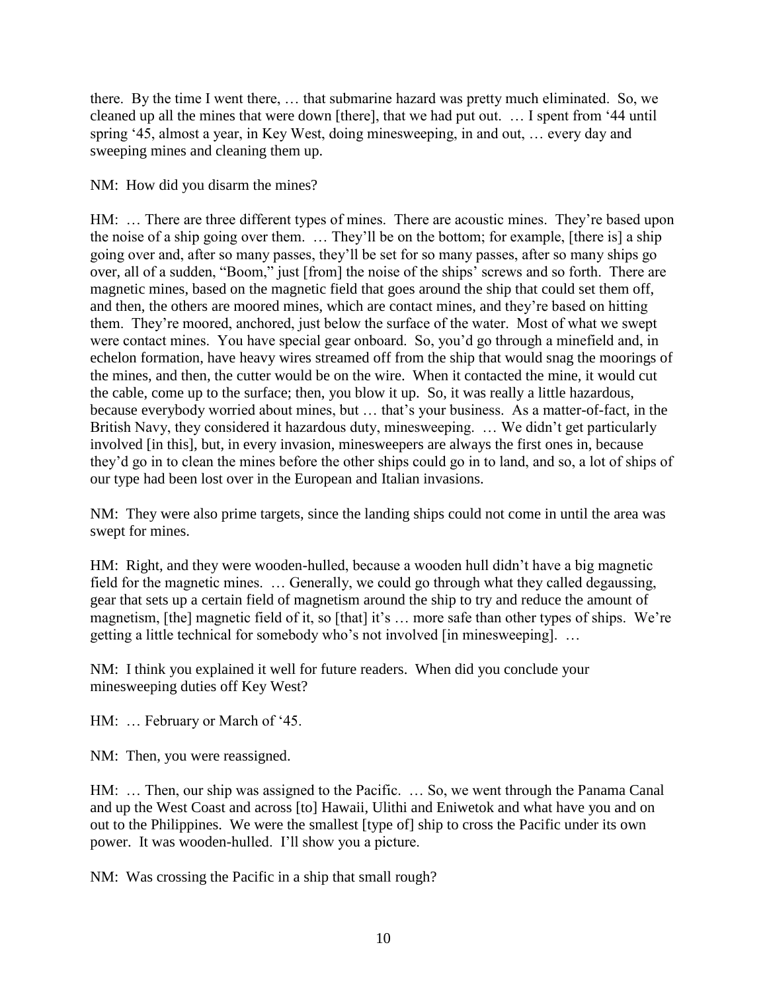there. By the time I went there, … that submarine hazard was pretty much eliminated. So, we cleaned up all the mines that were down [there], that we had put out. … I spent from '44 until spring '45, almost a year, in Key West, doing minesweeping, in and out, … every day and sweeping mines and cleaning them up.

NM: How did you disarm the mines?

HM: … There are three different types of mines. There are acoustic mines. They're based upon the noise of a ship going over them. … They'll be on the bottom; for example, [there is] a ship going over and, after so many passes, they'll be set for so many passes, after so many ships go over, all of a sudden, "Boom," just [from] the noise of the ships' screws and so forth. There are magnetic mines, based on the magnetic field that goes around the ship that could set them off, and then, the others are moored mines, which are contact mines, and they're based on hitting them. They're moored, anchored, just below the surface of the water. Most of what we swept were contact mines. You have special gear onboard. So, you'd go through a minefield and, in echelon formation, have heavy wires streamed off from the ship that would snag the moorings of the mines, and then, the cutter would be on the wire. When it contacted the mine, it would cut the cable, come up to the surface; then, you blow it up. So, it was really a little hazardous, because everybody worried about mines, but … that's your business. As a matter-of-fact, in the British Navy, they considered it hazardous duty, minesweeping. … We didn't get particularly involved [in this], but, in every invasion, minesweepers are always the first ones in, because they'd go in to clean the mines before the other ships could go in to land, and so, a lot of ships of our type had been lost over in the European and Italian invasions.

NM: They were also prime targets, since the landing ships could not come in until the area was swept for mines.

HM: Right, and they were wooden-hulled, because a wooden hull didn't have a big magnetic field for the magnetic mines. … Generally, we could go through what they called degaussing, gear that sets up a certain field of magnetism around the ship to try and reduce the amount of magnetism, [the] magnetic field of it, so [that] it's … more safe than other types of ships. We're getting a little technical for somebody who's not involved [in minesweeping]. …

NM: I think you explained it well for future readers. When did you conclude your minesweeping duties off Key West?

HM: … February or March of '45.

NM: Then, you were reassigned.

HM: … Then, our ship was assigned to the Pacific. … So, we went through the Panama Canal and up the West Coast and across [to] Hawaii, Ulithi and Eniwetok and what have you and on out to the Philippines. We were the smallest [type of] ship to cross the Pacific under its own power. It was wooden-hulled. I'll show you a picture.

NM: Was crossing the Pacific in a ship that small rough?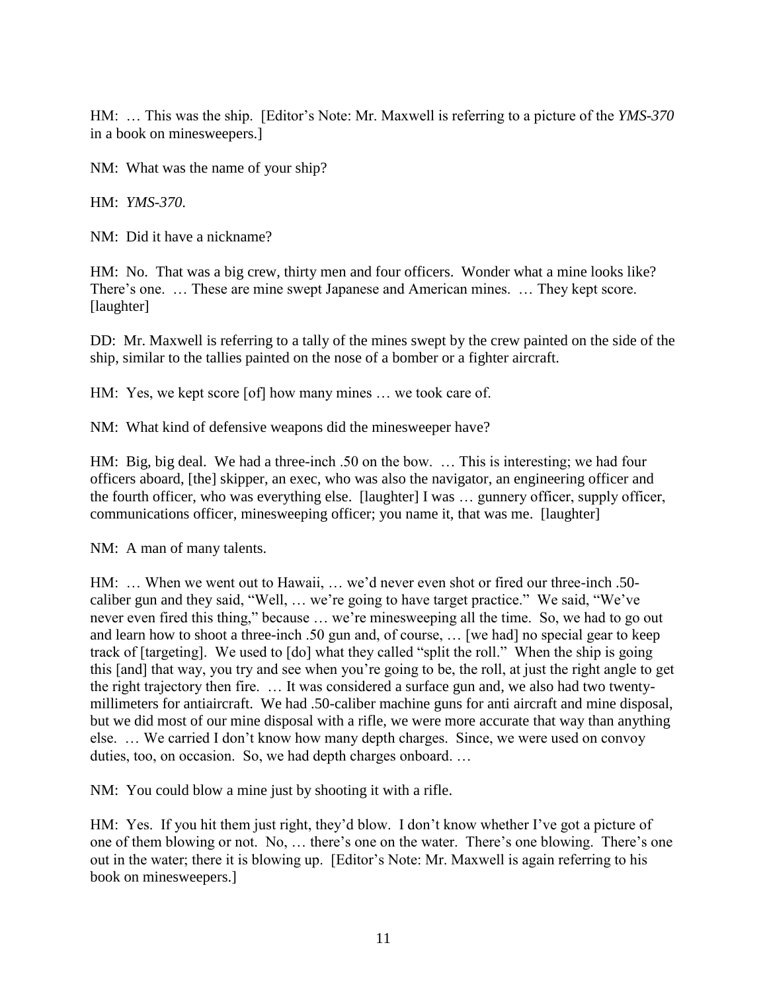HM: … This was the ship. [Editor's Note: Mr. Maxwell is referring to a picture of the *YMS-370* in a book on minesweepers.]

NM: What was the name of your ship?

HM: *YMS-370*.

NM: Did it have a nickname?

HM: No. That was a big crew, thirty men and four officers. Wonder what a mine looks like? There's one. … These are mine swept Japanese and American mines. … They kept score. [laughter]

DD: Mr. Maxwell is referring to a tally of the mines swept by the crew painted on the side of the ship, similar to the tallies painted on the nose of a bomber or a fighter aircraft.

HM: Yes, we kept score [of] how many mines ... we took care of.

NM: What kind of defensive weapons did the minesweeper have?

HM: Big, big deal. We had a three-inch .50 on the bow. … This is interesting; we had four officers aboard, [the] skipper, an exec, who was also the navigator, an engineering officer and the fourth officer, who was everything else. [laughter] I was … gunnery officer, supply officer, communications officer, minesweeping officer; you name it, that was me. [laughter]

NM: A man of many talents.

HM: … When we went out to Hawaii, … we'd never even shot or fired our three-inch .50 caliber gun and they said, "Well, … we're going to have target practice." We said, "We've never even fired this thing," because … we're minesweeping all the time. So, we had to go out and learn how to shoot a three-inch .50 gun and, of course, … [we had] no special gear to keep track of [targeting]. We used to [do] what they called "split the roll." When the ship is going this [and] that way, you try and see when you're going to be, the roll, at just the right angle to get the right trajectory then fire. … It was considered a surface gun and, we also had two twentymillimeters for antiaircraft. We had .50-caliber machine guns for anti aircraft and mine disposal, but we did most of our mine disposal with a rifle, we were more accurate that way than anything else. … We carried I don't know how many depth charges. Since, we were used on convoy duties, too, on occasion. So, we had depth charges onboard. …

NM: You could blow a mine just by shooting it with a rifle.

HM: Yes. If you hit them just right, they'd blow. I don't know whether I've got a picture of one of them blowing or not. No, … there's one on the water. There's one blowing. There's one out in the water; there it is blowing up. [Editor's Note: Mr. Maxwell is again referring to his book on minesweepers.]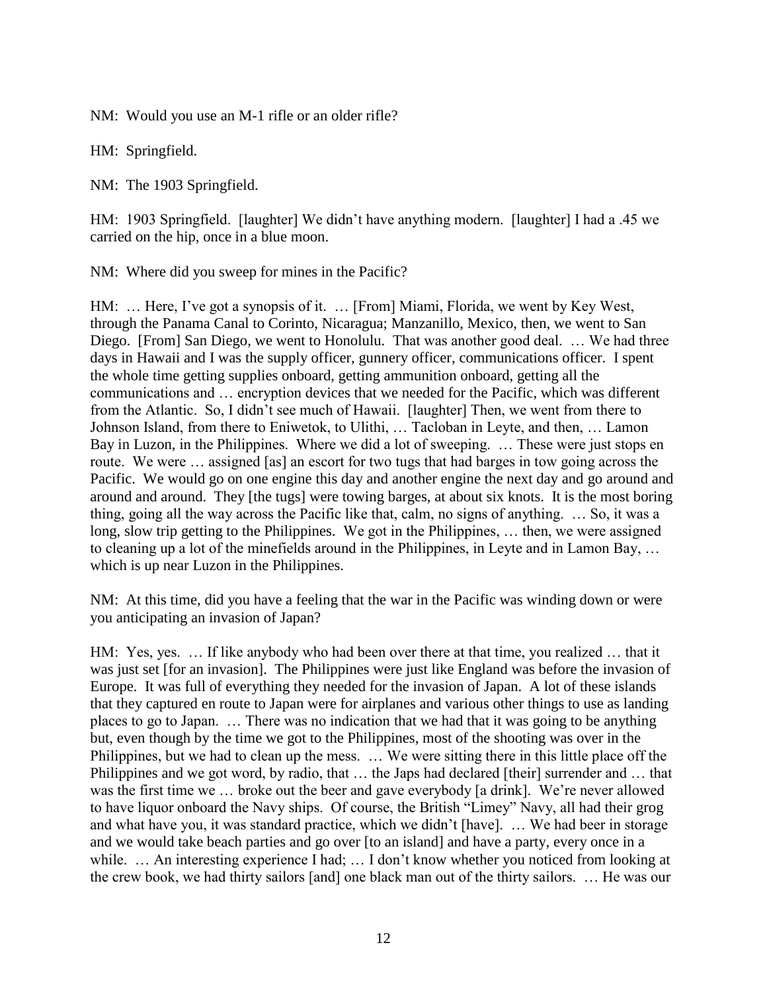NM: Would you use an M-1 rifle or an older rifle?

HM: Springfield.

NM: The 1903 Springfield.

HM: 1903 Springfield. [laughter] We didn't have anything modern. [laughter] I had a .45 we carried on the hip, once in a blue moon.

NM: Where did you sweep for mines in the Pacific?

HM: … Here, I've got a synopsis of it. … [From] Miami, Florida, we went by Key West, through the Panama Canal to Corinto, Nicaragua; Manzanillo, Mexico, then, we went to San Diego. [From] San Diego, we went to Honolulu. That was another good deal. … We had three days in Hawaii and I was the supply officer, gunnery officer, communications officer. I spent the whole time getting supplies onboard, getting ammunition onboard, getting all the communications and … encryption devices that we needed for the Pacific, which was different from the Atlantic. So, I didn't see much of Hawaii. [laughter] Then, we went from there to Johnson Island, from there to Eniwetok, to Ulithi, … Tacloban in Leyte, and then, … Lamon Bay in Luzon, in the Philippines. Where we did a lot of sweeping. … These were just stops en route. We were … assigned [as] an escort for two tugs that had barges in tow going across the Pacific. We would go on one engine this day and another engine the next day and go around and around and around. They [the tugs] were towing barges, at about six knots. It is the most boring thing, going all the way across the Pacific like that, calm, no signs of anything. … So, it was a long, slow trip getting to the Philippines. We got in the Philippines, … then, we were assigned to cleaning up a lot of the minefields around in the Philippines, in Leyte and in Lamon Bay, … which is up near Luzon in the Philippines.

NM: At this time, did you have a feeling that the war in the Pacific was winding down or were you anticipating an invasion of Japan?

HM: Yes, yes. … If like anybody who had been over there at that time, you realized … that it was just set [for an invasion]. The Philippines were just like England was before the invasion of Europe. It was full of everything they needed for the invasion of Japan. A lot of these islands that they captured en route to Japan were for airplanes and various other things to use as landing places to go to Japan. … There was no indication that we had that it was going to be anything but, even though by the time we got to the Philippines, most of the shooting was over in the Philippines, but we had to clean up the mess. … We were sitting there in this little place off the Philippines and we got word, by radio, that … the Japs had declared [their] surrender and … that was the first time we … broke out the beer and gave everybody [a drink]. We're never allowed to have liquor onboard the Navy ships. Of course, the British "Limey" Navy, all had their grog and what have you, it was standard practice, which we didn't [have]. … We had beer in storage and we would take beach parties and go over [to an island] and have a party, every once in a while. ... An interesting experience I had; ... I don't know whether you noticed from looking at the crew book, we had thirty sailors [and] one black man out of the thirty sailors. … He was our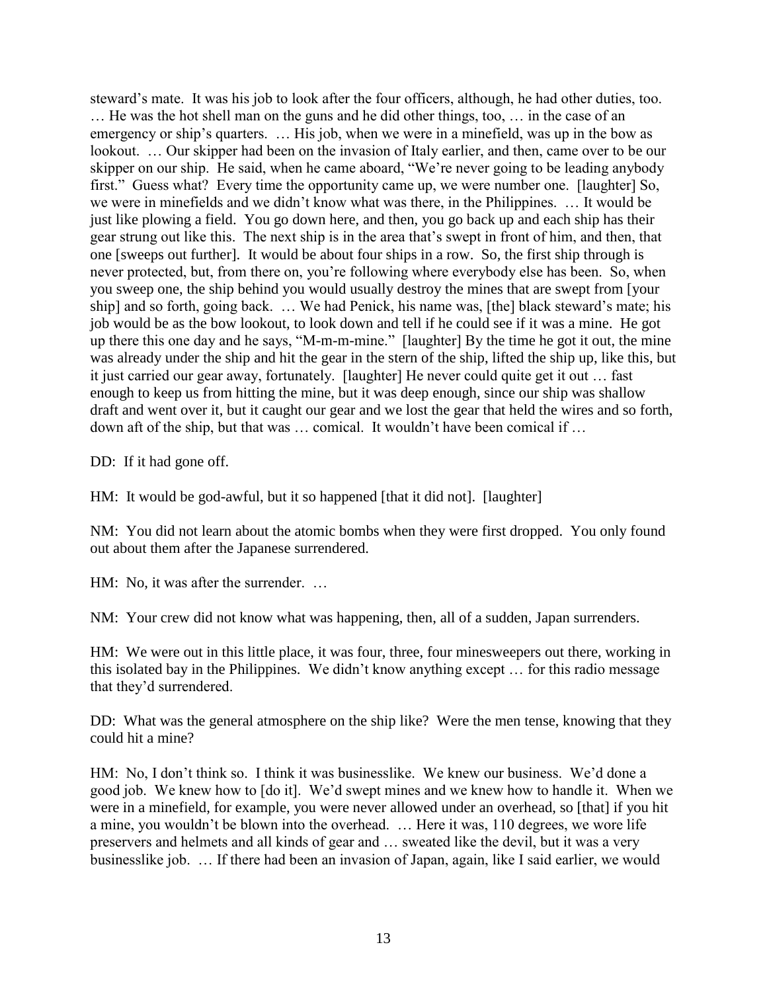steward's mate. It was his job to look after the four officers, although, he had other duties, too. … He was the hot shell man on the guns and he did other things, too, … in the case of an emergency or ship's quarters. … His job, when we were in a minefield, was up in the bow as lookout. … Our skipper had been on the invasion of Italy earlier, and then, came over to be our skipper on our ship. He said, when he came aboard, "We're never going to be leading anybody first." Guess what? Every time the opportunity came up, we were number one. [laughter] So, we were in minefields and we didn't know what was there, in the Philippines. … It would be just like plowing a field. You go down here, and then, you go back up and each ship has their gear strung out like this. The next ship is in the area that's swept in front of him, and then, that one [sweeps out further]. It would be about four ships in a row. So, the first ship through is never protected, but, from there on, you're following where everybody else has been. So, when you sweep one, the ship behind you would usually destroy the mines that are swept from [your ship] and so forth, going back. … We had Penick, his name was, [the] black steward's mate; his job would be as the bow lookout, to look down and tell if he could see if it was a mine. He got up there this one day and he says, "M-m-m-mine." [laughter] By the time he got it out, the mine was already under the ship and hit the gear in the stern of the ship, lifted the ship up, like this, but it just carried our gear away, fortunately. [laughter] He never could quite get it out … fast enough to keep us from hitting the mine, but it was deep enough, since our ship was shallow draft and went over it, but it caught our gear and we lost the gear that held the wires and so forth, down aft of the ship, but that was … comical. It wouldn't have been comical if …

DD: If it had gone off.

HM: It would be god-awful, but it so happened [that it did not]. [laughter]

NM: You did not learn about the atomic bombs when they were first dropped. You only found out about them after the Japanese surrendered.

HM: No, it was after the surrender. …

NM: Your crew did not know what was happening, then, all of a sudden, Japan surrenders.

HM: We were out in this little place, it was four, three, four minesweepers out there, working in this isolated bay in the Philippines. We didn't know anything except … for this radio message that they'd surrendered.

DD: What was the general atmosphere on the ship like? Were the men tense, knowing that they could hit a mine?

HM: No, I don't think so. I think it was businesslike. We knew our business. We'd done a good job. We knew how to [do it]. We'd swept mines and we knew how to handle it. When we were in a minefield, for example, you were never allowed under an overhead, so [that] if you hit a mine, you wouldn't be blown into the overhead. … Here it was, 110 degrees, we wore life preservers and helmets and all kinds of gear and … sweated like the devil, but it was a very businesslike job. … If there had been an invasion of Japan, again, like I said earlier, we would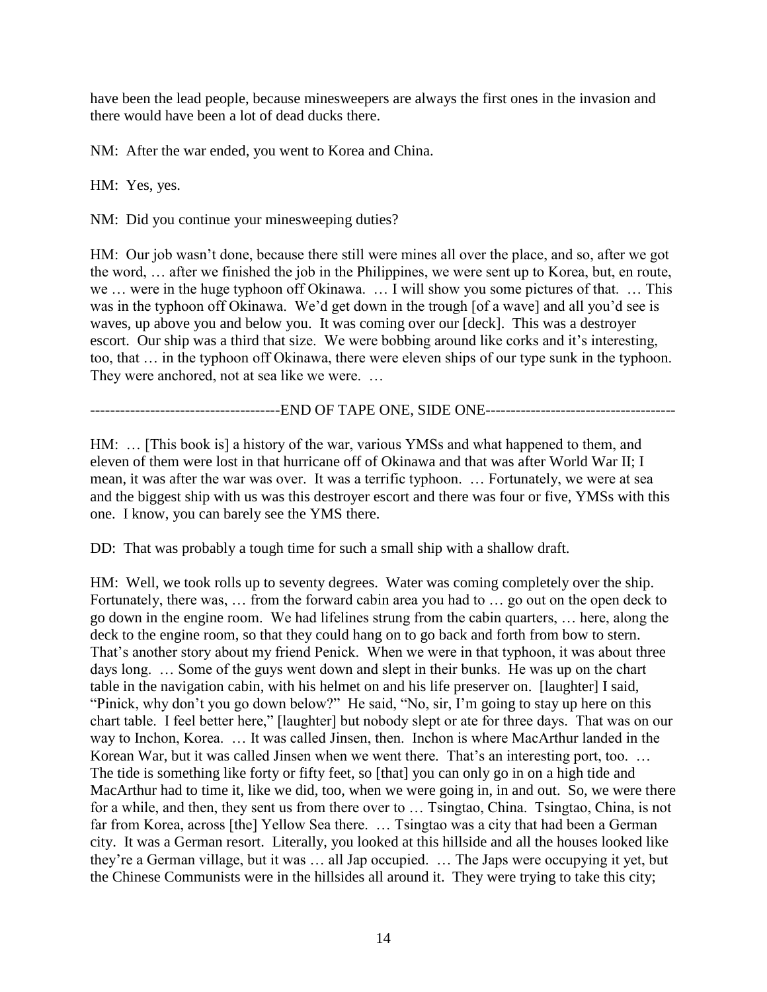have been the lead people, because minesweepers are always the first ones in the invasion and there would have been a lot of dead ducks there.

NM: After the war ended, you went to Korea and China.

HM: Yes, yes.

NM: Did you continue your minesweeping duties?

HM: Our job wasn't done, because there still were mines all over the place, and so, after we got the word, … after we finished the job in the Philippines, we were sent up to Korea, but, en route, we … were in the huge typhoon off Okinawa. … I will show you some pictures of that. … This was in the typhoon off Okinawa. We'd get down in the trough [of a wave] and all you'd see is waves, up above you and below you. It was coming over our [deck]. This was a destroyer escort. Our ship was a third that size. We were bobbing around like corks and it's interesting, too, that … in the typhoon off Okinawa, there were eleven ships of our type sunk in the typhoon. They were anchored, not at sea like we were. …

--------------------------------------END OF TAPE ONE, SIDE ONE--------------------------------------

HM: … [This book is] a history of the war, various YMSs and what happened to them, and eleven of them were lost in that hurricane off of Okinawa and that was after World War II; I mean, it was after the war was over. It was a terrific typhoon. … Fortunately, we were at sea and the biggest ship with us was this destroyer escort and there was four or five, YMSs with this one. I know, you can barely see the YMS there.

DD: That was probably a tough time for such a small ship with a shallow draft.

HM: Well, we took rolls up to seventy degrees. Water was coming completely over the ship. Fortunately, there was, … from the forward cabin area you had to … go out on the open deck to go down in the engine room. We had lifelines strung from the cabin quarters, … here, along the deck to the engine room, so that they could hang on to go back and forth from bow to stern. That's another story about my friend Penick. When we were in that typhoon, it was about three days long. … Some of the guys went down and slept in their bunks. He was up on the chart table in the navigation cabin, with his helmet on and his life preserver on. [laughter] I said, "Pinick, why don't you go down below?" He said, "No, sir, I'm going to stay up here on this chart table. I feel better here," [laughter] but nobody slept or ate for three days. That was on our way to Inchon, Korea. … It was called Jinsen, then. Inchon is where MacArthur landed in the Korean War, but it was called Jinsen when we went there. That's an interesting port, too. … The tide is something like forty or fifty feet, so [that] you can only go in on a high tide and MacArthur had to time it, like we did, too, when we were going in, in and out. So, we were there for a while, and then, they sent us from there over to … Tsingtao, China. Tsingtao, China, is not far from Korea, across [the] Yellow Sea there. … Tsingtao was a city that had been a German city. It was a German resort. Literally, you looked at this hillside and all the houses looked like they're a German village, but it was … all Jap occupied. … The Japs were occupying it yet, but the Chinese Communists were in the hillsides all around it. They were trying to take this city;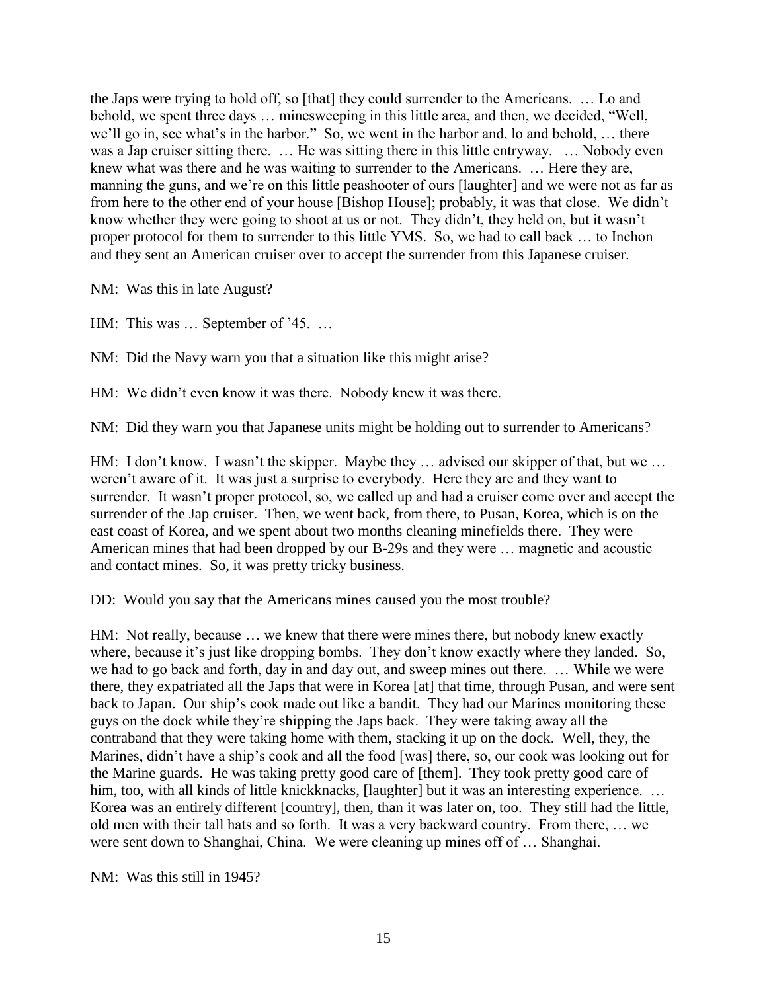the Japs were trying to hold off, so [that] they could surrender to the Americans. … Lo and behold, we spent three days … minesweeping in this little area, and then, we decided, "Well, we'll go in, see what's in the harbor." So, we went in the harbor and, lo and behold, ... there was a Jap cruiser sitting there. … He was sitting there in this little entryway. … Nobody even knew what was there and he was waiting to surrender to the Americans. … Here they are, manning the guns, and we're on this little peashooter of ours [laughter] and we were not as far as from here to the other end of your house [Bishop House]; probably, it was that close. We didn't know whether they were going to shoot at us or not. They didn't, they held on, but it wasn't proper protocol for them to surrender to this little YMS. So, we had to call back … to Inchon and they sent an American cruiser over to accept the surrender from this Japanese cruiser.

NM: Was this in late August?

HM: This was … September of '45. …

NM: Did the Navy warn you that a situation like this might arise?

HM: We didn't even know it was there. Nobody knew it was there.

NM: Did they warn you that Japanese units might be holding out to surrender to Americans?

HM: I don't know. I wasn't the skipper. Maybe they ... advised our skipper of that, but we ... weren't aware of it. It was just a surprise to everybody. Here they are and they want to surrender. It wasn't proper protocol, so, we called up and had a cruiser come over and accept the surrender of the Jap cruiser. Then, we went back, from there, to Pusan, Korea, which is on the east coast of Korea, and we spent about two months cleaning minefields there. They were American mines that had been dropped by our B-29s and they were … magnetic and acoustic and contact mines. So, it was pretty tricky business.

DD: Would you say that the Americans mines caused you the most trouble?

HM: Not really, because … we knew that there were mines there, but nobody knew exactly where, because it's just like dropping bombs. They don't know exactly where they landed. So, we had to go back and forth, day in and day out, and sweep mines out there. … While we were there, they expatriated all the Japs that were in Korea [at] that time, through Pusan, and were sent back to Japan. Our ship's cook made out like a bandit. They had our Marines monitoring these guys on the dock while they're shipping the Japs back. They were taking away all the contraband that they were taking home with them, stacking it up on the dock. Well, they, the Marines, didn't have a ship's cook and all the food [was] there, so, our cook was looking out for the Marine guards. He was taking pretty good care of [them]. They took pretty good care of him, too, with all kinds of little knickknacks, [laughter] but it was an interesting experience. ... Korea was an entirely different [country], then, than it was later on, too. They still had the little, old men with their tall hats and so forth. It was a very backward country. From there, … we were sent down to Shanghai, China. We were cleaning up mines off of … Shanghai.

NM: Was this still in 1945?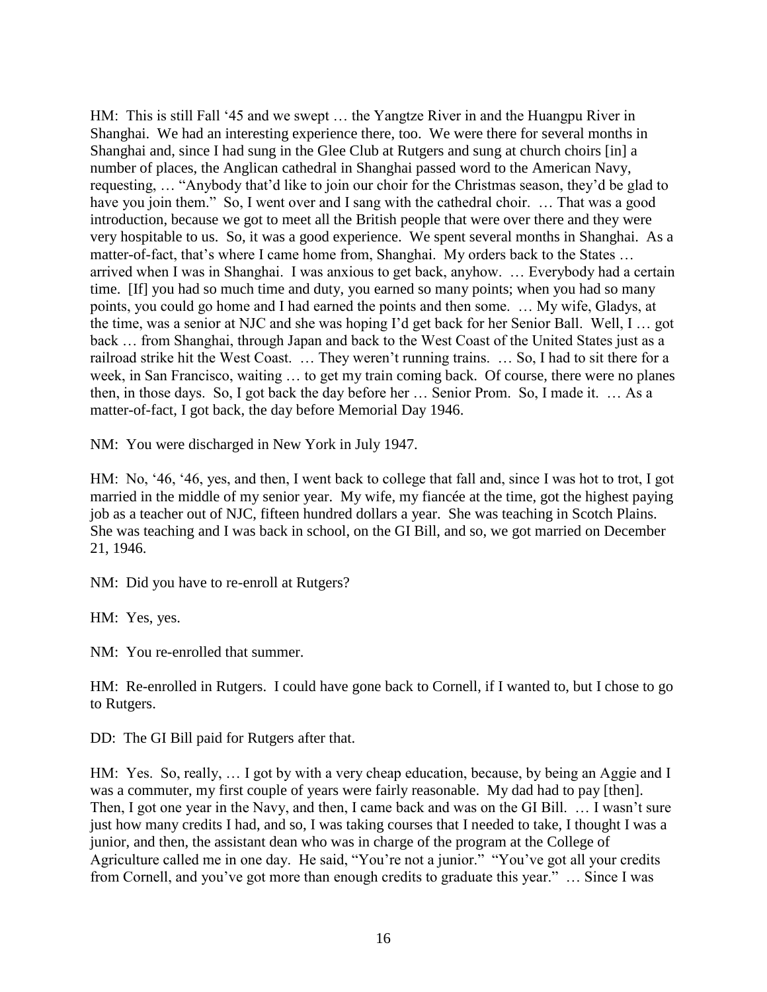HM: This is still Fall '45 and we swept … the Yangtze River in and the Huangpu River in Shanghai. We had an interesting experience there, too. We were there for several months in Shanghai and, since I had sung in the Glee Club at Rutgers and sung at church choirs [in] a number of places, the Anglican cathedral in Shanghai passed word to the American Navy, requesting, … "Anybody that'd like to join our choir for the Christmas season, they'd be glad to have you join them." So, I went over and I sang with the cathedral choir. ... That was a good introduction, because we got to meet all the British people that were over there and they were very hospitable to us. So, it was a good experience. We spent several months in Shanghai. As a matter-of-fact, that's where I came home from, Shanghai. My orders back to the States … arrived when I was in Shanghai. I was anxious to get back, anyhow. … Everybody had a certain time. [If] you had so much time and duty, you earned so many points; when you had so many points, you could go home and I had earned the points and then some. … My wife, Gladys, at the time, was a senior at NJC and she was hoping I'd get back for her Senior Ball. Well, I … got back … from Shanghai, through Japan and back to the West Coast of the United States just as a railroad strike hit the West Coast. … They weren't running trains. … So, I had to sit there for a week, in San Francisco, waiting … to get my train coming back. Of course, there were no planes then, in those days. So, I got back the day before her … Senior Prom. So, I made it. … As a matter-of-fact, I got back, the day before Memorial Day 1946.

NM: You were discharged in New York in July 1947.

HM: No, '46, '46, yes, and then, I went back to college that fall and, since I was hot to trot, I got married in the middle of my senior year. My wife, my fiancée at the time, got the highest paying job as a teacher out of NJC, fifteen hundred dollars a year. She was teaching in Scotch Plains. She was teaching and I was back in school, on the GI Bill, and so, we got married on December 21, 1946.

NM: Did you have to re-enroll at Rutgers?

HM: Yes, yes.

NM: You re-enrolled that summer.

HM: Re-enrolled in Rutgers. I could have gone back to Cornell, if I wanted to, but I chose to go to Rutgers.

DD: The GI Bill paid for Rutgers after that.

HM: Yes. So, really, ... I got by with a very cheap education, because, by being an Aggie and I was a commuter, my first couple of years were fairly reasonable. My dad had to pay [then]. Then, I got one year in the Navy, and then, I came back and was on the GI Bill. … I wasn't sure just how many credits I had, and so, I was taking courses that I needed to take, I thought I was a junior, and then, the assistant dean who was in charge of the program at the College of Agriculture called me in one day. He said, "You're not a junior." "You've got all your credits from Cornell, and you've got more than enough credits to graduate this year." … Since I was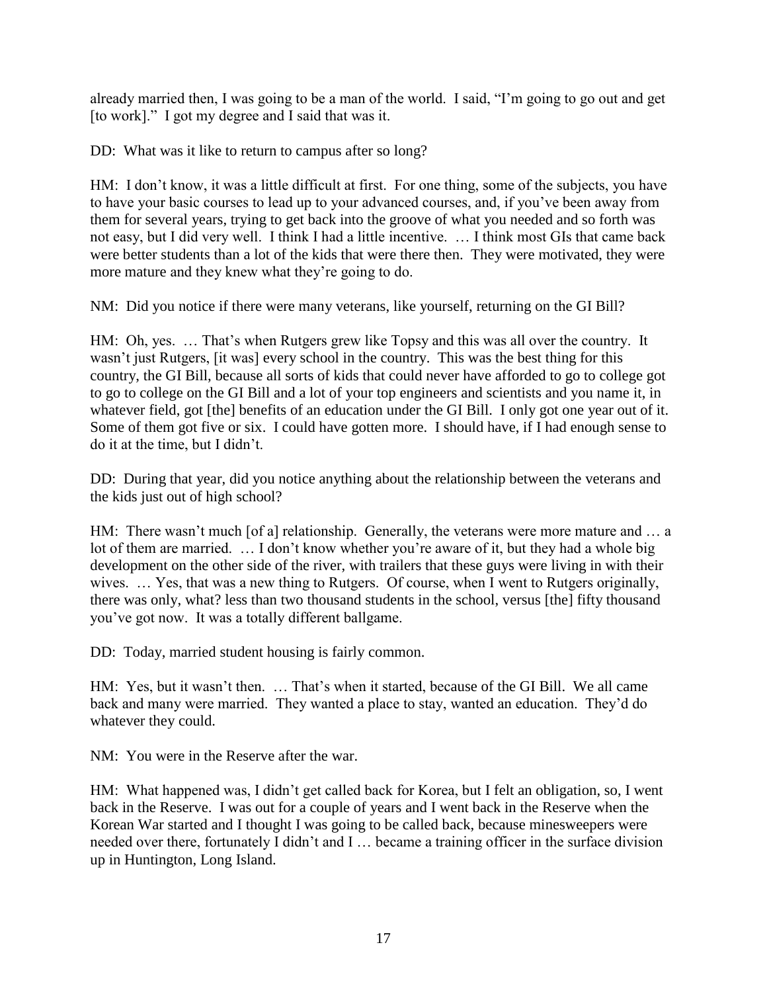already married then, I was going to be a man of the world. I said, "I'm going to go out and get [to work]." I got my degree and I said that was it.

DD: What was it like to return to campus after so long?

HM: I don't know, it was a little difficult at first. For one thing, some of the subjects, you have to have your basic courses to lead up to your advanced courses, and, if you've been away from them for several years, trying to get back into the groove of what you needed and so forth was not easy, but I did very well. I think I had a little incentive. … I think most GIs that came back were better students than a lot of the kids that were there then. They were motivated, they were more mature and they knew what they're going to do.

NM: Did you notice if there were many veterans, like yourself, returning on the GI Bill?

HM: Oh, yes. … That's when Rutgers grew like Topsy and this was all over the country. It wasn't just Rutgers, [it was] every school in the country. This was the best thing for this country, the GI Bill, because all sorts of kids that could never have afforded to go to college got to go to college on the GI Bill and a lot of your top engineers and scientists and you name it, in whatever field, got [the] benefits of an education under the GI Bill. I only got one year out of it. Some of them got five or six. I could have gotten more. I should have, if I had enough sense to do it at the time, but I didn't.

DD: During that year, did you notice anything about the relationship between the veterans and the kids just out of high school?

HM: There wasn't much [of a] relationship. Generally, the veterans were more mature and ... a lot of them are married. ... I don't know whether you're aware of it, but they had a whole big development on the other side of the river, with trailers that these guys were living in with their wives. … Yes, that was a new thing to Rutgers. Of course, when I went to Rutgers originally, there was only, what? less than two thousand students in the school, versus [the] fifty thousand you've got now. It was a totally different ballgame.

DD: Today, married student housing is fairly common.

HM: Yes, but it wasn't then. … That's when it started, because of the GI Bill. We all came back and many were married. They wanted a place to stay, wanted an education. They'd do whatever they could.

NM: You were in the Reserve after the war.

HM: What happened was, I didn't get called back for Korea, but I felt an obligation, so, I went back in the Reserve. I was out for a couple of years and I went back in the Reserve when the Korean War started and I thought I was going to be called back, because minesweepers were needed over there, fortunately I didn't and I … became a training officer in the surface division up in Huntington, Long Island.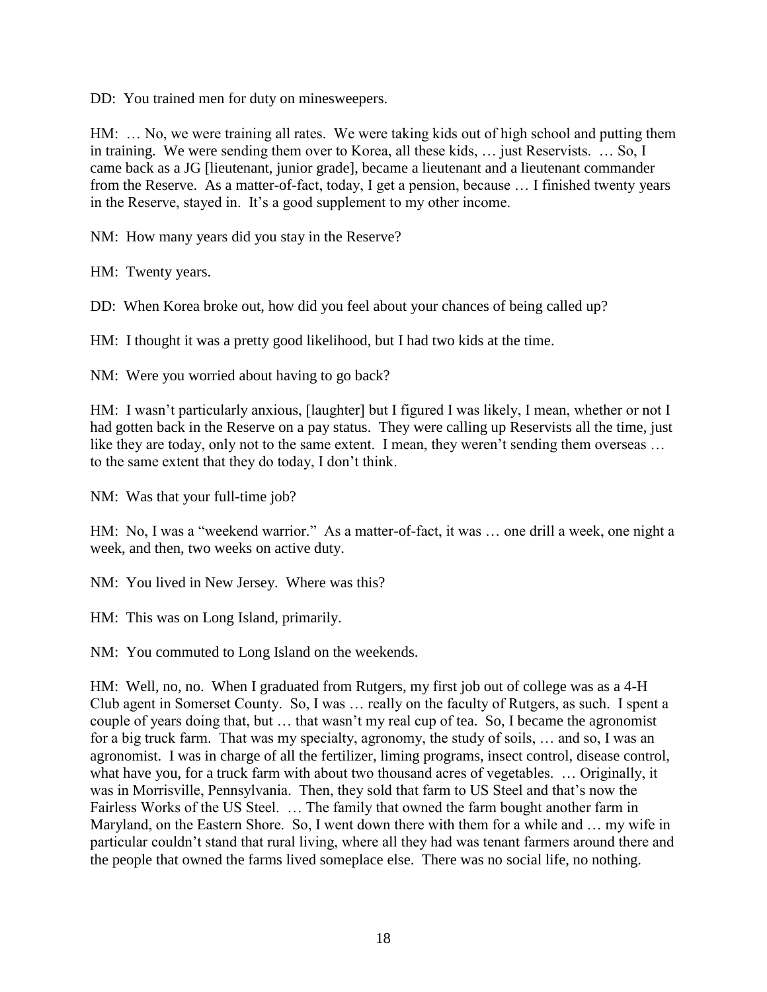DD: You trained men for duty on minesweepers.

HM: … No, we were training all rates. We were taking kids out of high school and putting them in training. We were sending them over to Korea, all these kids, … just Reservists. … So, I came back as a JG [lieutenant, junior grade], became a lieutenant and a lieutenant commander from the Reserve. As a matter-of-fact, today, I get a pension, because … I finished twenty years in the Reserve, stayed in. It's a good supplement to my other income.

NM: How many years did you stay in the Reserve?

HM: Twenty years.

DD: When Korea broke out, how did you feel about your chances of being called up?

HM: I thought it was a pretty good likelihood, but I had two kids at the time.

NM: Were you worried about having to go back?

HM: I wasn't particularly anxious, [laughter] but I figured I was likely, I mean, whether or not I had gotten back in the Reserve on a pay status. They were calling up Reservists all the time, just like they are today, only not to the same extent. I mean, they weren't sending them overseas ... to the same extent that they do today, I don't think.

NM: Was that your full-time job?

HM: No, I was a "weekend warrior." As a matter-of-fact, it was ... one drill a week, one night a week, and then, two weeks on active duty.

NM: You lived in New Jersey. Where was this?

HM: This was on Long Island, primarily.

NM: You commuted to Long Island on the weekends.

HM: Well, no, no. When I graduated from Rutgers, my first job out of college was as a 4-H Club agent in Somerset County. So, I was … really on the faculty of Rutgers, as such. I spent a couple of years doing that, but … that wasn't my real cup of tea. So, I became the agronomist for a big truck farm. That was my specialty, agronomy, the study of soils, … and so, I was an agronomist. I was in charge of all the fertilizer, liming programs, insect control, disease control, what have you, for a truck farm with about two thousand acres of vegetables. … Originally, it was in Morrisville, Pennsylvania. Then, they sold that farm to US Steel and that's now the Fairless Works of the US Steel. … The family that owned the farm bought another farm in Maryland, on the Eastern Shore. So, I went down there with them for a while and … my wife in particular couldn't stand that rural living, where all they had was tenant farmers around there and the people that owned the farms lived someplace else. There was no social life, no nothing.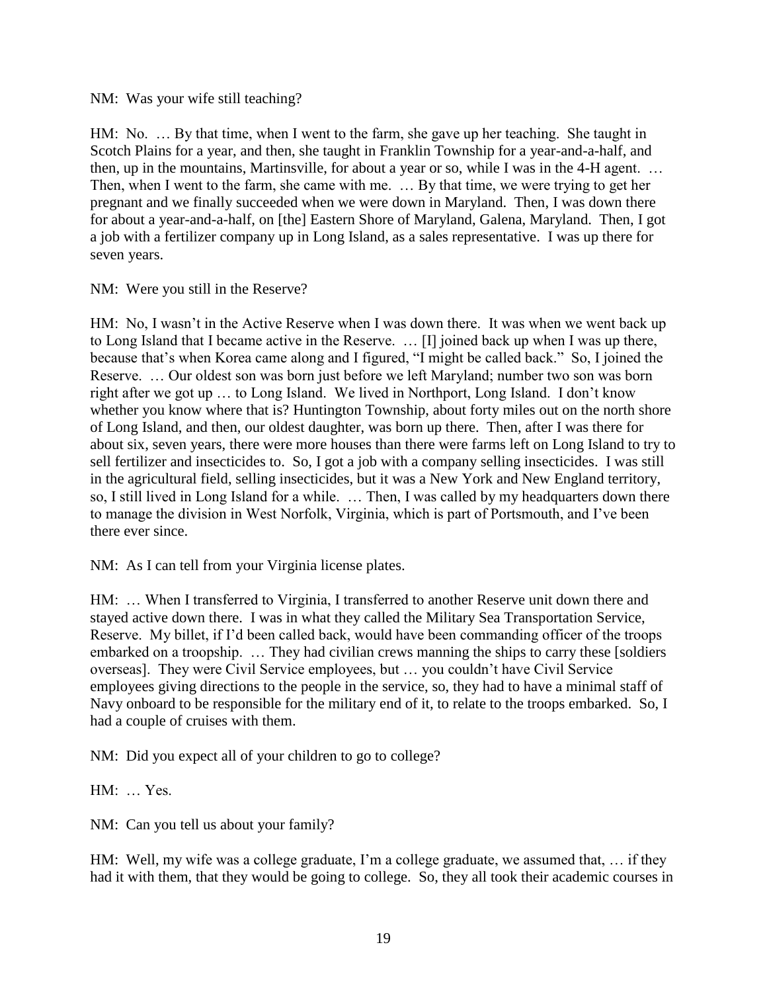NM: Was your wife still teaching?

HM: No. … By that time, when I went to the farm, she gave up her teaching. She taught in Scotch Plains for a year, and then, she taught in Franklin Township for a year-and-a-half, and then, up in the mountains, Martinsville, for about a year or so, while I was in the 4-H agent. … Then, when I went to the farm, she came with me. … By that time, we were trying to get her pregnant and we finally succeeded when we were down in Maryland. Then, I was down there for about a year-and-a-half, on [the] Eastern Shore of Maryland, Galena, Maryland. Then, I got a job with a fertilizer company up in Long Island, as a sales representative. I was up there for seven years.

NM: Were you still in the Reserve?

HM: No, I wasn't in the Active Reserve when I was down there. It was when we went back up to Long Island that I became active in the Reserve. … [I] joined back up when I was up there, because that's when Korea came along and I figured, "I might be called back." So, I joined the Reserve. … Our oldest son was born just before we left Maryland; number two son was born right after we got up … to Long Island. We lived in Northport, Long Island. I don't know whether you know where that is? Huntington Township, about forty miles out on the north shore of Long Island, and then, our oldest daughter, was born up there. Then, after I was there for about six, seven years, there were more houses than there were farms left on Long Island to try to sell fertilizer and insecticides to. So, I got a job with a company selling insecticides. I was still in the agricultural field, selling insecticides, but it was a New York and New England territory, so, I still lived in Long Island for a while. … Then, I was called by my headquarters down there to manage the division in West Norfolk, Virginia, which is part of Portsmouth, and I've been there ever since.

NM: As I can tell from your Virginia license plates.

HM: … When I transferred to Virginia, I transferred to another Reserve unit down there and stayed active down there. I was in what they called the Military Sea Transportation Service, Reserve. My billet, if I'd been called back, would have been commanding officer of the troops embarked on a troopship. … They had civilian crews manning the ships to carry these [soldiers overseas]. They were Civil Service employees, but … you couldn't have Civil Service employees giving directions to the people in the service, so, they had to have a minimal staff of Navy onboard to be responsible for the military end of it, to relate to the troops embarked. So, I had a couple of cruises with them.

NM: Did you expect all of your children to go to college?

HM: … Yes.

NM: Can you tell us about your family?

HM: Well, my wife was a college graduate, I'm a college graduate, we assumed that, ... if they had it with them, that they would be going to college. So, they all took their academic courses in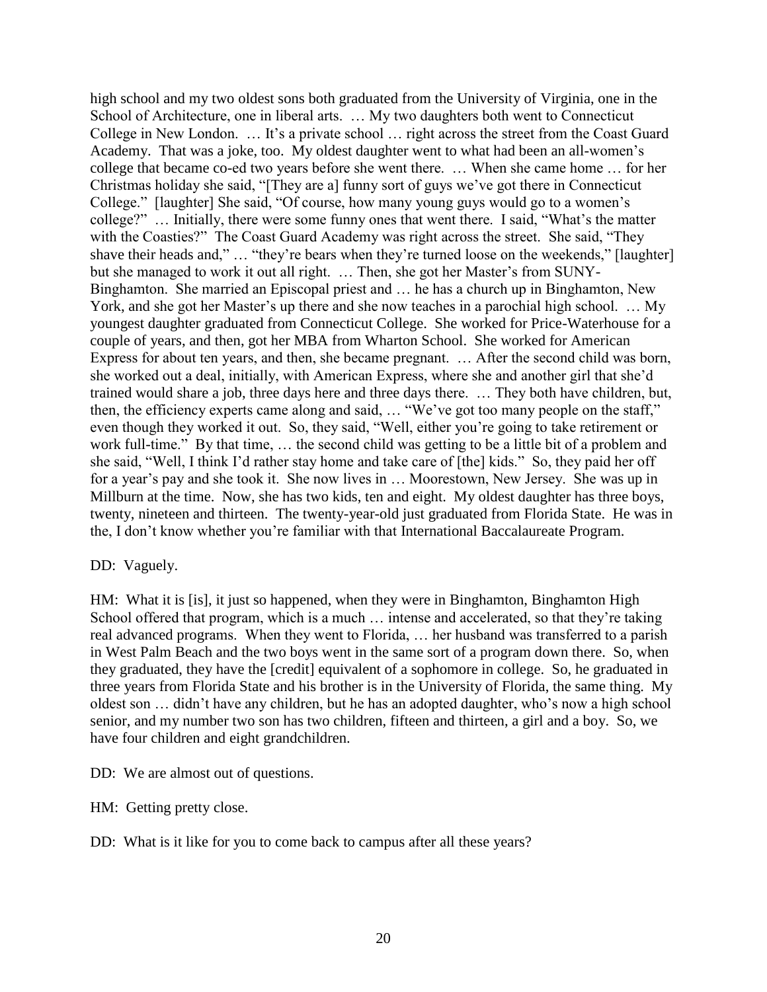high school and my two oldest sons both graduated from the University of Virginia, one in the School of Architecture, one in liberal arts. … My two daughters both went to Connecticut College in New London. … It's a private school … right across the street from the Coast Guard Academy. That was a joke, too. My oldest daughter went to what had been an all-women's college that became co-ed two years before she went there. … When she came home … for her Christmas holiday she said, "[They are a] funny sort of guys we've got there in Connecticut College." [laughter] She said, "Of course, how many young guys would go to a women's college?" … Initially, there were some funny ones that went there. I said, "What's the matter with the Coasties?" The Coast Guard Academy was right across the street. She said, "They shave their heads and," … "they're bears when they're turned loose on the weekends," [laughter] but she managed to work it out all right. … Then, she got her Master's from SUNY-Binghamton. She married an Episcopal priest and … he has a church up in Binghamton, New York, and she got her Master's up there and she now teaches in a parochial high school. … My youngest daughter graduated from Connecticut College. She worked for Price-Waterhouse for a couple of years, and then, got her MBA from Wharton School. She worked for American Express for about ten years, and then, she became pregnant. … After the second child was born, she worked out a deal, initially, with American Express, where she and another girl that she'd trained would share a job, three days here and three days there. … They both have children, but, then, the efficiency experts came along and said, … "We've got too many people on the staff," even though they worked it out. So, they said, "Well, either you're going to take retirement or work full-time." By that time, … the second child was getting to be a little bit of a problem and she said, "Well, I think I'd rather stay home and take care of [the] kids." So, they paid her off for a year's pay and she took it. She now lives in … Moorestown, New Jersey. She was up in Millburn at the time. Now, she has two kids, ten and eight. My oldest daughter has three boys, twenty, nineteen and thirteen. The twenty-year-old just graduated from Florida State. He was in the, I don't know whether you're familiar with that International Baccalaureate Program.

# DD: Vaguely.

HM: What it is [is], it just so happened, when they were in Binghamton, Binghamton High School offered that program, which is a much ... intense and accelerated, so that they're taking real advanced programs. When they went to Florida, … her husband was transferred to a parish in West Palm Beach and the two boys went in the same sort of a program down there. So, when they graduated, they have the [credit] equivalent of a sophomore in college. So, he graduated in three years from Florida State and his brother is in the University of Florida, the same thing. My oldest son … didn't have any children, but he has an adopted daughter, who's now a high school senior, and my number two son has two children, fifteen and thirteen, a girl and a boy. So, we have four children and eight grandchildren.

DD: We are almost out of questions.

HM: Getting pretty close.

DD: What is it like for you to come back to campus after all these years?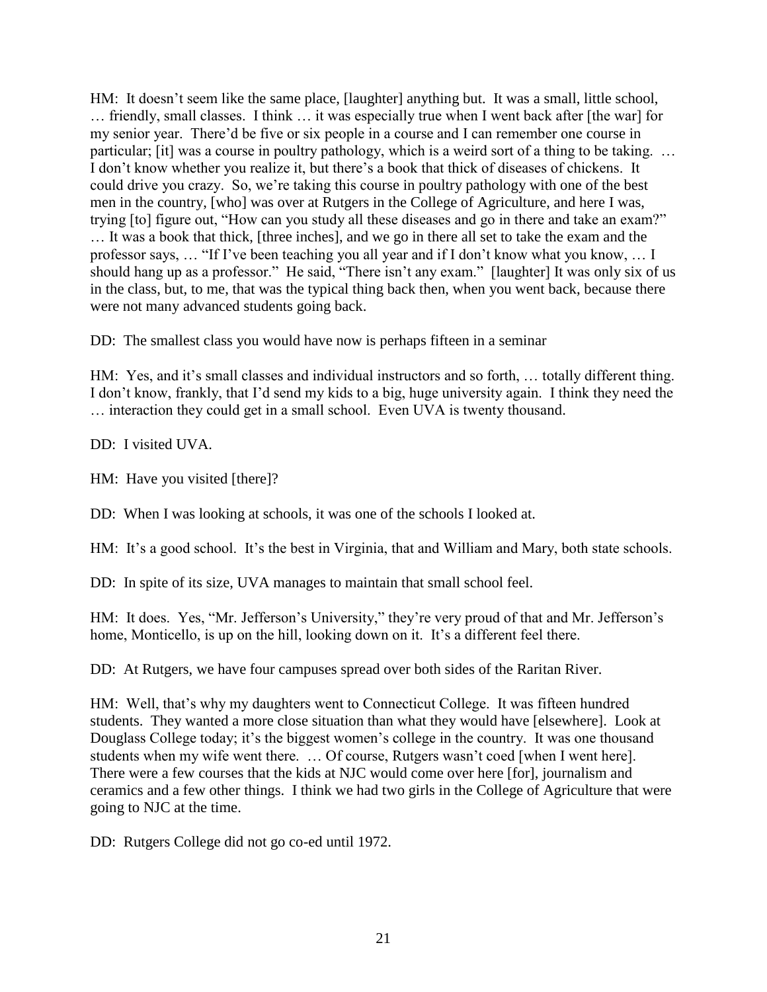HM: It doesn't seem like the same place, [laughter] anything but. It was a small, little school, … friendly, small classes. I think … it was especially true when I went back after [the war] for my senior year. There'd be five or six people in a course and I can remember one course in particular; [it] was a course in poultry pathology, which is a weird sort of a thing to be taking. … I don't know whether you realize it, but there's a book that thick of diseases of chickens. It could drive you crazy. So, we're taking this course in poultry pathology with one of the best men in the country, [who] was over at Rutgers in the College of Agriculture, and here I was, trying [to] figure out, "How can you study all these diseases and go in there and take an exam?" … It was a book that thick, [three inches], and we go in there all set to take the exam and the professor says, … "If I've been teaching you all year and if I don't know what you know, … I should hang up as a professor." He said, "There isn't any exam." [laughter] It was only six of us in the class, but, to me, that was the typical thing back then, when you went back, because there were not many advanced students going back.

DD: The smallest class you would have now is perhaps fifteen in a seminar

HM: Yes, and it's small classes and individual instructors and so forth, … totally different thing. I don't know, frankly, that I'd send my kids to a big, huge university again. I think they need the … interaction they could get in a small school. Even UVA is twenty thousand.

DD: I visited UVA.

HM: Have you visited [there]?

DD: When I was looking at schools, it was one of the schools I looked at.

HM: It's a good school. It's the best in Virginia, that and William and Mary, both state schools.

DD: In spite of its size, UVA manages to maintain that small school feel.

HM: It does. Yes, "Mr. Jefferson's University," they're very proud of that and Mr. Jefferson's home, Monticello, is up on the hill, looking down on it. It's a different feel there.

DD: At Rutgers, we have four campuses spread over both sides of the Raritan River.

HM: Well, that's why my daughters went to Connecticut College. It was fifteen hundred students. They wanted a more close situation than what they would have [elsewhere]. Look at Douglass College today; it's the biggest women's college in the country. It was one thousand students when my wife went there. … Of course, Rutgers wasn't coed [when I went here]. There were a few courses that the kids at NJC would come over here [for], journalism and ceramics and a few other things. I think we had two girls in the College of Agriculture that were going to NJC at the time.

DD: Rutgers College did not go co-ed until 1972.